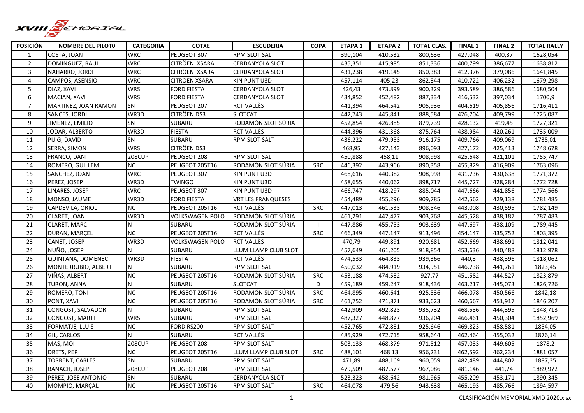

| <b>POSICIÓN</b>  | <b>NOMBRE DEL PILOTO</b> | <b>CATEGORIA</b> | <b>COTXE</b>           | <b>ESCUDERIA</b>          | <b>COPA</b> | <b>ETAPA 1</b> | <b>ETAPA 2</b> | <b>TOTAL CLAS.</b> | <b>FINAL 1</b> | <b>FINAL 2</b> | <b>TOTAL RALLY</b> |
|------------------|--------------------------|------------------|------------------------|---------------------------|-------------|----------------|----------------|--------------------|----------------|----------------|--------------------|
| 1                | COSTA, JOAN              | <b>WRC</b>       | PEUGEOT 307            | <b>RPM SLOT SALT</b>      |             | 390,104        | 410,532        | 800,636            | 427,048        | 400,37         | 1628,054           |
| $\overline{2}$   | DOMINGUEZ, RAUL          | <b>WRC</b>       | CITRÖEN XSARA          | CERDANYOLA SLOT           |             | 435.351        | 415,985        | 851,336            | 400.799        | 386,677        | 1638.812           |
| 3                | NAHARRO, JORDI           | WRC              | CITRÖEN XSARA          | <b>CERDANYOLA SLOT</b>    |             | 431,238        | 419,145        | 850,383            | 412,376        | 379,086        | 1641,845           |
| $\overline{4}$   | CAMPOS, ASENSIO          | <b>WRC</b>       | <b>CITROEN XSARA</b>   | KIN PUNT U3D              |             | 457,114        | 405,23         | 862,344            | 410,722        | 406,232        | 1679,298           |
| 5                | DIAZ, XAVI               | <b>WRS</b>       | <b>FORD FIESTA</b>     | <b>CERDANYOLA SLOT</b>    |             | 426,43         | 473,899        | 900,329            | 393,589        | 386,586        | 1680,504           |
| $\boldsymbol{6}$ | MACIAN, XAVI             | <b>WRS</b>       | <b>FORD FIESTA</b>     | CERDANYOLA SLOT           |             | 434,852        | 452,482        | 887,334            | 416,532        | 397,034        | 1700,9             |
| $\overline{7}$   | MARTINEZ, JOAN RAMON     | <b>SN</b>        | PEUGEOT 207            | <b>RCT VALLÈS</b>         |             | 441,394        | 464,542        | 905,936            | 404,619        | 405,856        | 1716,411           |
| 8                | SANCES, JORDI            | WR3D             | CITRÖEN DS3            | <b>SLOTCAT</b>            |             | 442,743        | 445,841        | 888,584            | 426,704        | 409,799        | 1725,087           |
| 9                | JIMENEZ, EMILIO          | <b>SN</b>        | SUBARU                 | RODAMÓN SLOT SÚRIA        |             | 452,854        | 426,885        | 879,739            | 428,132        | 419,45         | 1727,321           |
| 10               | JODAR, ALBERTO           | WR3D             | <b>FIESTA</b>          | RCT VALLÈS                |             | 444,396        | 431,368        | 875,764            | 438,984        | 420,261        | 1735,009           |
| $\overline{11}$  | PUIG, DAVID              | SN               | SUBARU                 | <b>RPM SLOT SALT</b>      |             | 436,222        | 479,953        | 916,175            | 409,766        | 409,069        | 1735,01            |
| 12               | SERRA, SIMON             | <b>WRS</b>       | <b>CITRÖEN DS3</b>     |                           |             | 468,95         | 427,143        | 896,093            | 427,172        | 425,413        | 1748,678           |
| 13               | FRANCO, DANI             | <b>208CUP</b>    | PEUGEOT 208            | <b>RPM SLOT SALT</b>      |             | 450.888        | 458,11         | 908,998            | 425,648        | 421,101        | 1755,747           |
| 14               | ROMERO, GUILLEM          | <b>NC</b>        | PEUGEOT 205T16         | RODAMÓN SLOT SÚRIA        | <b>SRC</b>  | 446,392        | 443,966        | 890,358            | 455,829        | 416,909        | 1763,096           |
| 15               | SANCHEZ, JOAN            | <b>WRC</b>       | PEUGEOT 307            | KIN PUNT U3D              |             | 468,616        | 440,382        | 908,998            | 431,736        | 430,638        | 1771,372           |
| 16               | PEREZ, JOSEP             | WR3D             | <b>TWINGO</b>          | <b>KIN PUNT U3D</b>       |             | 458,655        | 440,062        | 898,717            | 445,727        | 428,284        | 1772,728           |
| 17               | LINARES, JOSEP           | <b>WRC</b>       | PEUGEOT 307            | KIN PUNT U3D              |             | 466,747        | 418,297        | 885,044            | 447,666        | 441,856        | 1774,566           |
| 18               | MONSO, JAUME             | WR3D             | <b>FORD FIESTA</b>     | <b>VRT LES FRANQUESES</b> |             | 454,489        | 455,296        | 909,785            | 442,562        | 429,138        | 1781,485           |
| 19               | CAPDEVILA, ORIOL         | NC               | PEUGEOT 205T16         | RCT VALLÈS                | <b>SRC</b>  | 447,013        | 461,533        | 908,546            | 443,008        | 430,595        | 1782,149           |
| 20               | CLARET, JOAN             | WR3D             | VOLKSWAGEN POLO        | RODAMÓN SLOT SÚRIA        |             | 461,291        | 442,477        | 903,768            | 445,528        | 438,187        | 1787,483           |
| 21               | CLARET, MARC             | N                | SUBARU                 | RODAMÓN SLOT SÚRIA        |             | 447,886        | 455,753        | 903,639            | 447,697        | 438,109        | 1789,445           |
| 22               | DURAN, MARCEL            | $\overline{NC}$  | PEUGEOT 205T16         | <b>RCT VALLÈS</b>         | SRC         | 466,349        | 447,147        | 913,496            | 454,147        | 435,752        | 1803,395           |
| 23               | CANET, JOSEP             | WR3D             | <b>VOLKSWAGEN POLO</b> | <b>RCT VALLÈS</b>         |             | 470,79         | 449,891        | 920,681            | 452,669        | 438,691        | 1812,041           |
| 24               | NUÑO. JOSEP              | N                | SUBARU                 | LLUM LLAMP CLUB SLOT      |             | 457.649        | 461,205        | 918,854            | 453,636        | 440.488        | 1812.978           |
| 25               | QUINTANA, DOMENEC        | WR3D             | <b>FIESTA</b>          | <b>RCT VALLÈS</b>         |             | 474,533        | 464,833        | 939,366            | 440,3          | 438,396        | 1818,062           |
| $\overline{26}$  | MONTERRUBIO, ALBERT      | N                | SUBARU                 | RPM SLOT SALT             |             | 450,032        | 484,919        | 934,951            | 446,738        | 441,761        | 1823,45            |
| 27               | VIÑAS, ALBERT            | <b>NC</b>        | PEUGEOT 205T16         | RODAMÓN SLOT SÚRIA        | <b>SRC</b>  | 453,188        | 474,582        | 927,77             | 451,582        | 444,527        | 1823,879           |
| 28               | TURON, ANNA              | N                | SUBARU                 | <b>SLOTCAT</b>            | D           | 459,189        | 459,247        | 918,436            | 463,217        | 445,073        | 1826,726           |
| 29               | ROMERO, TONI             | <b>NC</b>        | PEUGEOT 205T16         | RODAMÓN SLOT SÚRIA        | <b>SRC</b>  | 464,895        | 460,641        | 925,536            | 466,078        | 450,566        | 1842,18            |
| 30               | PONT, XAVI               | <b>NC</b>        | PEUGEOT 205T16         | RODAMÓN SLOT SÚRIA        | <b>SRC</b>  | 461,752        | 471,871        | 933,623            | 460,667        | 451,917        | 1846,207           |
| 31               | CONGOST, SALVADOR        | N.               | SUBARU                 | <b>RPM SLOT SALT</b>      |             | 442,909        | 492,823        | 935,732            | 468,586        | 444,395        | 1848,713           |
| 32               | <b>CONGOST, MARTI</b>    | <b>WRS</b>       | SUBARU                 | RPM SLOT SALT             |             | 487,327        | 448,877        | 936,204            | 466,461        | 450,304        | 1852,969           |
| 33               | FORMATJE, LLUIS          | <b>NC</b>        | FORD RS200             | <b>RPM SLOT SALT</b>      |             | 452,765        | 472,881        | 925,646            | 469,823        | 458,581        | 1854,05            |
| 34               | GIL, CARLOS              | N                | SUBARU                 | <b>RCT VALLES</b>         |             | 485,929        | 472,715        | 958,644            | 462,464        | 455,032        | 1876,14            |
| 35               | MAS, MOI                 | <b>208CUP</b>    | PEUGEOT 208            | <b>RPM SLOT SALT</b>      |             | 503,133        | 468,379        | 971,512            | 457,083        | 449,605        | 1878,2             |
| 36               | DRETS, PEP               | <b>NC</b>        | PEUGEOT 205T16         | LLUM LLAMP CLUB SLOT      | <b>SRC</b>  | 488,101        | 468,13         | 956,231            | 462,592        | 462,234        | 1881,057           |
| 37               | TORRENT, CARLES          | SN               | SUBARU                 | <b>RPM SLOT SALT</b>      |             | 471,89         | 488,169        | 960,059            | 482,489        | 444,802        | 1887,35            |
| 38               | <b>BANACH, JOSEP</b>     | <b>208CUP</b>    | PEUGEOT 208            | <b>RPM SLOT SALT</b>      |             | 479,509        | 487,577        | 967,086            | 481,146        | 441,74         | 1889,972           |
| 39               | PEREZ, JOSE ANTONIO      | SN               | SUBARU                 | CERDANYOLA SLOT           |             | 523,323        | 458,642        | 981,965            | 455,209        | 453,171        | 1890,345           |
| 40               | MOMPIO, MARÇAL           | $\overline{NC}$  | PEUGEOT 205T16         | <b>RPM SLOT SALT</b>      | SRC         | 464,078        | 479,56         | 943,638            | 465,193        | 485,766        | 1894,597           |